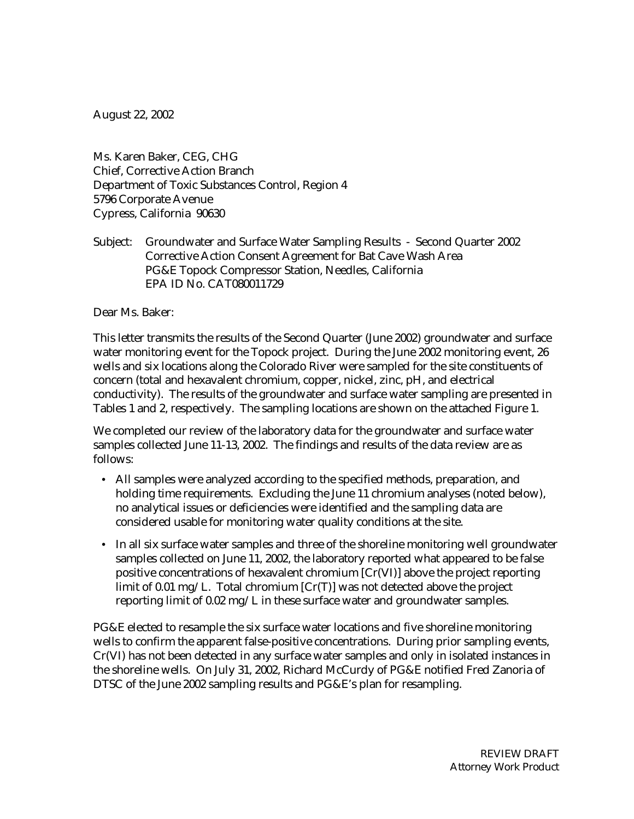August 22, 2002

Ms. Karen Baker, CEG, CHG Chief, Corrective Action Branch Department of Toxic Substances Control, Region 4 5796 Corporate Avenue Cypress, California 90630

Subject: Groundwater and Surface Water Sampling Results - Second Quarter 2002 Corrective Action Consent Agreement for Bat Cave Wash Area PG&E Topock Compressor Station, Needles, California EPA ID No. CAT080011729

Dear Ms. Baker:

This letter transmits the results of the Second Quarter (June 2002) groundwater and surface water monitoring event for the Topock project. During the June 2002 monitoring event, 26 wells and six locations along the Colorado River were sampled for the site constituents of concern (total and hexavalent chromium, copper, nickel, zinc, pH, and electrical conductivity). The results of the groundwater and surface water sampling are presented in Tables 1 and 2, respectively. The sampling locations are shown on the attached Figure 1.

We completed our review of the laboratory data for the groundwater and surface water samples collected June 11-13, 2002. The findings and results of the data review are as follows:

- All samples were analyzed according to the specified methods, preparation, and holding time requirements. Excluding the June 11 chromium analyses (noted below), no analytical issues or deficiencies were identified and the sampling data are considered usable for monitoring water quality conditions at the site.
- In all six surface water samples and three of the shoreline monitoring well groundwater samples collected on June 11, 2002, the laboratory reported what appeared to be false positive concentrations of hexavalent chromium [Cr(VI)] above the project reporting limit of 0.01 mg/L. Total chromium [Cr(T)] was not detected above the project reporting limit of 0.02 mg/L in these surface water and groundwater samples.

PG&E elected to resample the six surface water locations and five shoreline monitoring wells to confirm the apparent false-positive concentrations. During prior sampling events, Cr(VI) has not been detected in any surface water samples and only in isolated instances in the shoreline wells. On July 31, 2002, Richard McCurdy of PG&E notified Fred Zanoria of DTSC of the June 2002 sampling results and PG&E's plan for resampling.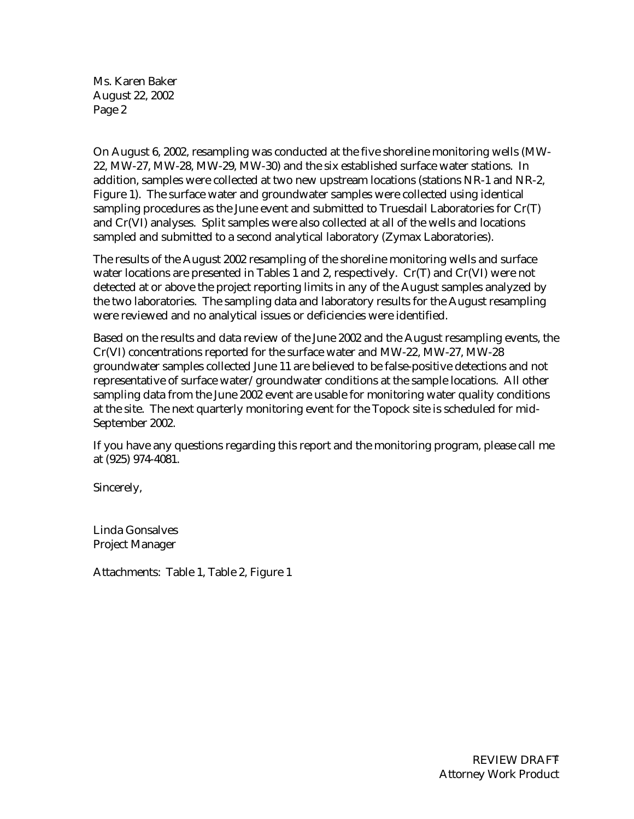Ms. Karen Baker August 22, 2002 Page 2

On August 6, 2002, resampling was conducted at the five shoreline monitoring wells (MW-22, MW-27, MW-28, MW-29, MW-30) and the six established surface water stations. In addition, samples were collected at two new upstream locations (stations NR-1 and NR-2, Figure 1). The surface water and groundwater samples were collected using identical sampling procedures as the June event and submitted to Truesdail Laboratories for Cr(T) and Cr(VI) analyses. Split samples were also collected at all of the wells and locations sampled and submitted to a second analytical laboratory (Zymax Laboratories).

The results of the August 2002 resampling of the shoreline monitoring wells and surface water locations are presented in Tables 1 and 2, respectively. Cr(T) and Cr(VI) were not detected at or above the project reporting limits in any of the August samples analyzed by the two laboratories. The sampling data and laboratory results for the August resampling were reviewed and no analytical issues or deficiencies were identified.

Based on the results and data review of the June 2002 and the August resampling events, the Cr(VI) concentrations reported for the surface water and MW-22, MW-27, MW-28 groundwater samples collected June 11 are believed to be false-positive detections and not representative of surface water/groundwater conditions at the sample locations. All other sampling data from the June 2002 event are usable for monitoring water quality conditions at the site. The next quarterly monitoring event for the Topock site is scheduled for mid-September 2002.

If you have any questions regarding this report and the monitoring program, please call me at (925) 974-4081.

Sincerely,

Linda Gonsalves Project Manager

Attachments: Table 1, Table 2, Figure 1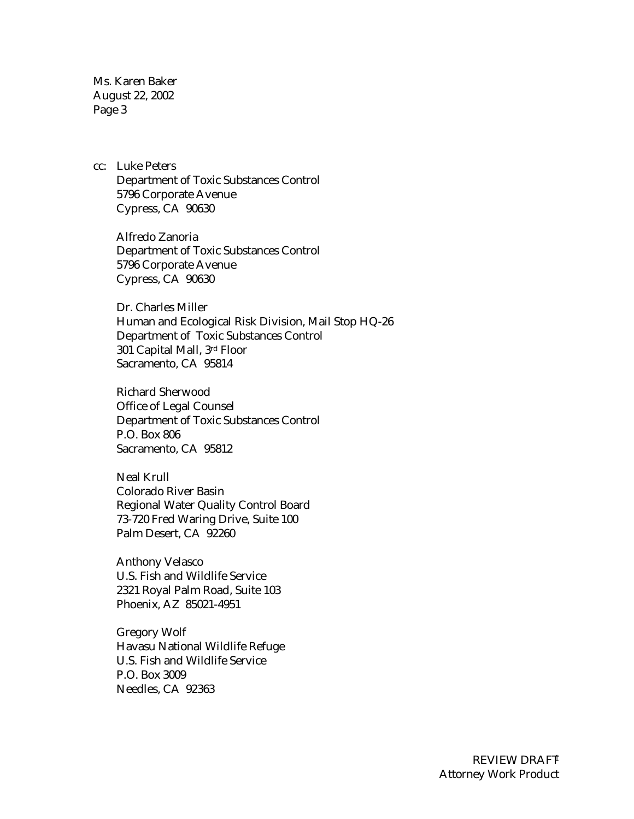Ms. Karen Baker August 22, 2002 Page 3

cc: Luke Peters

Department of Toxic Substances Control 5796 Corporate Avenue Cypress, CA 90630

Alfredo Zanoria Department of Toxic Substances Control 5796 Corporate Avenue Cypress, CA 90630

Dr. Charles Miller Human and Ecological Risk Division, Mail Stop HQ-26 Department of Toxic Substances Control 301 Capital Mall, 3rd Floor Sacramento, CA 95814

Richard Sherwood Office of Legal Counsel Department of Toxic Substances Control P.O. Box 806 Sacramento, CA 95812

Neal Krull Colorado River Basin Regional Water Quality Control Board 73-720 Fred Waring Drive, Suite 100 Palm Desert, CA 92260

Anthony Velasco U.S. Fish and Wildlife Service 2321 Royal Palm Road, Suite 103 Phoenix, AZ 85021-4951

Gregory Wolf Havasu National Wildlife Refuge U.S. Fish and Wildlife Service P.O. Box 3009 Needles, CA 92363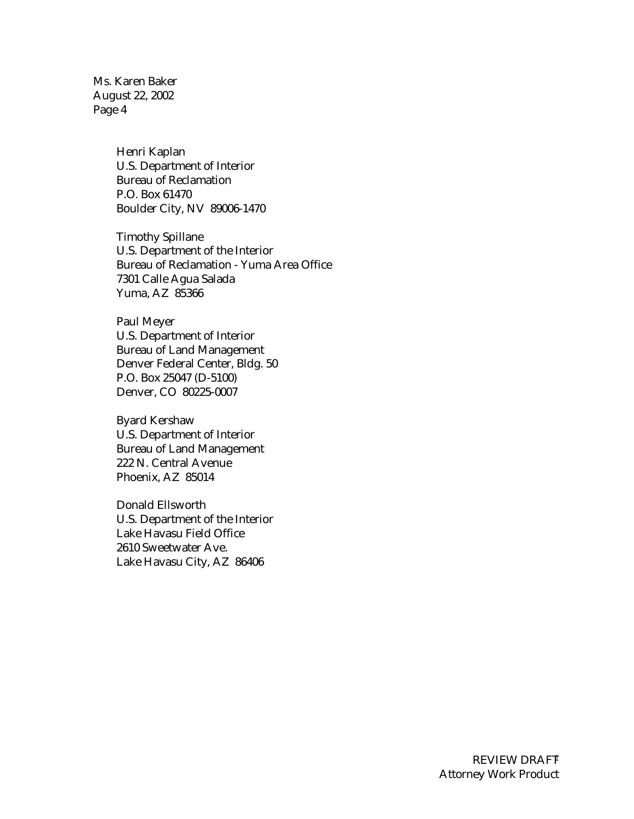Ms. Karen Baker August 22, 2002 Page 4

> Henri Kaplan U.S. Department of Interior Bureau of Reclamation P.O. Box 61470 Boulder City, NV 89006-1470

Timothy Spillane U.S. Department of the Interior Bureau of Reclamation - Yuma Area Office 7301 Calle Agua Salada Yuma, AZ 85366

Paul Meyer U.S. Department of Interior Bureau of Land Management Denver Federal Center, Bldg. 50 P.O. Box 25047 (D-5100) Denver, CO 80225-0007

Byard Kershaw U.S. Department of Interior Bureau of Land Management 222 N. Central Avenue Phoenix, AZ 85014

Donald Ellsworth U.S. Department of the Interior Lake Havasu Field Office 2610 Sweetwater Ave. Lake Havasu City, AZ 86406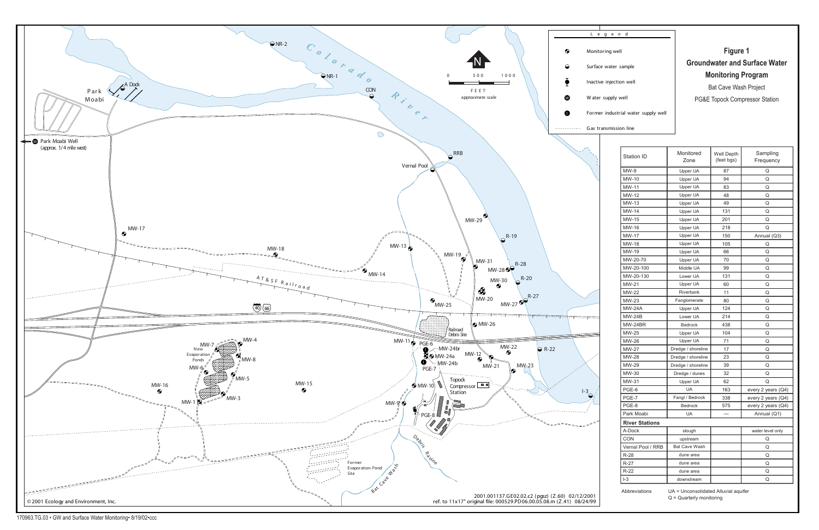Surface water sample

Inactive injection well

W ater supply well

Former industrial water supply well

Gas transmission line

L e g e n d

| <b>Station ID</b>     | Monitored<br>Zone    | Well Depth<br>(feet bgs) | Sampling<br>Frequency |  |  |  |  |
|-----------------------|----------------------|--------------------------|-----------------------|--|--|--|--|
| MW-9                  | Upper UA             | 87                       | Q                     |  |  |  |  |
| MW-10                 | Upper UA             | 94                       | Q                     |  |  |  |  |
| MW-11                 | Upper UA             | 83                       | Q                     |  |  |  |  |
| MW-12                 | Upper UA             | 48                       | Q                     |  |  |  |  |
| MW-13                 | Upper UA             | 49                       | Q                     |  |  |  |  |
| MW-14                 | Upper UA             | 131                      | Q                     |  |  |  |  |
| MW-15                 | Upper UA             | 201                      | Q                     |  |  |  |  |
| MW-16                 | Upper UA             | 218                      | Q                     |  |  |  |  |
| MW-17                 | Upper UA             | 150                      | Annual (Q3)           |  |  |  |  |
| <b>MW-18</b>          | Upper UA             | 105                      | Q                     |  |  |  |  |
| MW-19                 | Upper UA             | 66                       | Q                     |  |  |  |  |
| MW-20-70              | Upper UA             | 70                       | Q                     |  |  |  |  |
| MW-20-100             | Middle UA            | 99                       | Q                     |  |  |  |  |
| MW-20-130             | Lower UA             | 131                      | Q                     |  |  |  |  |
| MW-21                 | <b>Upper UA</b>      | 60                       | Q                     |  |  |  |  |
| <b>MW-22</b>          | Riverbank            | 11                       | Q                     |  |  |  |  |
| MW-23                 | Fanglomerate         | 80                       | Q                     |  |  |  |  |
| <b>MW-24A</b>         | Upper UA             | 124                      | Q                     |  |  |  |  |
| <b>MW-24B</b>         | Lower UA             | 214                      | Q                     |  |  |  |  |
| MW-24BR               | Bedrock              | 438                      | Q                     |  |  |  |  |
| <b>MW-25</b>          | Upper UA             | 104                      | Q                     |  |  |  |  |
| MW-26                 | Upper UA             | 71                       | Q                     |  |  |  |  |
| MW-27                 | Dredge / shoreline   | 17                       | Q                     |  |  |  |  |
| <b>MW-28</b>          | Dredge / shoreline   | 23                       | Q                     |  |  |  |  |
| MW-29                 | Dredge / shoreline   | 39                       | Q                     |  |  |  |  |
| MW-30                 | Dredge / dunes       | 32                       | Q                     |  |  |  |  |
| MW-31                 | Upper UA             | 62                       | Q                     |  |  |  |  |
| PGE-6                 | UA                   | 163                      | every 2 years (Q4)    |  |  |  |  |
| PGE-7                 | Fangl / Bedrock      | 338                      | every 2 years (Q4)    |  |  |  |  |
| PGE-8                 | Bedrock              | 575                      | every 2 years (Q4)    |  |  |  |  |
| Park Moabi            | UA                   | ---                      | Annual (Q1)           |  |  |  |  |
| <b>River Stations</b> |                      |                          |                       |  |  |  |  |
| A-Dock                | slough               |                          | water level only      |  |  |  |  |
| CON                   | upstream             |                          | Q                     |  |  |  |  |
| Vernal Pool / RRB     | <b>Bat Cave Wash</b> |                          | Q                     |  |  |  |  |
| $R-28$                | dune area            |                          | Q                     |  |  |  |  |
| $R-27$                | dune area            |                          | Q                     |  |  |  |  |
| $R-22$                | dune area            |                          | Q                     |  |  |  |  |
| $-3$                  | downstream           |                          | Q                     |  |  |  |  |

Abbreviations UA = Unconsolidated Alluvial aquifer Q = Quarterly monitoring

## **Figure 1 Groundwater and Surface Water Monitoring Program**



170963.TG.03 • GW and Surface Water Monitoring• 8/19/02•ccc

Bat Cave Wash Project PG&E Topock Compressor Station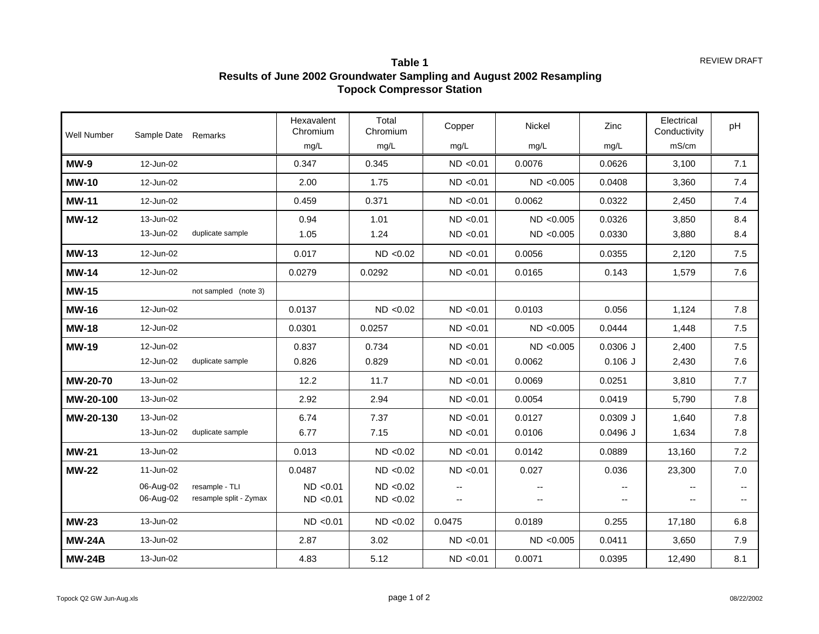## **Table 1Results of June 2002 Groundwater Sampling and August 2002 Resampling Topock Compressor Station**

| <b>Well Number</b> | Sample Date Remarks |                        | Hexavalent<br>Chromium | Total<br>Chromium | Copper                   | Nickel                   | Zinc       | Electrical<br>Conductivity | pH                       |
|--------------------|---------------------|------------------------|------------------------|-------------------|--------------------------|--------------------------|------------|----------------------------|--------------------------|
|                    |                     |                        | mg/L                   | mg/L              | mg/L                     | mg/L                     | mg/L       | mS/cm                      |                          |
| <b>MW-9</b>        | 12-Jun-02           |                        | 0.347                  | 0.345             | ND < 0.01                | 0.0076                   | 0.0626     | 3,100                      | 7.1                      |
| <b>MW-10</b>       | 12-Jun-02           |                        | 2.00                   | 1.75              | ND < 0.01                | ND <0.005                | 0.0408     | 3,360                      | 7.4                      |
| <b>MW-11</b>       | 12-Jun-02           |                        | 0.459                  | 0.371             | ND < 0.01                | 0.0062                   | 0.0322     | 2,450                      | 7.4                      |
| <b>MW-12</b>       | 13-Jun-02           |                        | 0.94                   | 1.01              | ND < 0.01                | ND <0.005                | 0.0326     | 3,850                      | 8.4                      |
|                    | 13-Jun-02           | duplicate sample       | 1.05                   | 1.24              | ND < 0.01                | ND < 0.005               | 0.0330     | 3,880                      | 8.4                      |
| <b>MW-13</b>       | 12-Jun-02           |                        | 0.017                  | ND < 0.02         | ND < 0.01                | 0.0056                   | 0.0355     | 2,120                      | 7.5                      |
| <b>MW-14</b>       | 12-Jun-02           |                        | 0.0279                 | 0.0292            | ND < 0.01                | 0.0165                   | 0.143      | 1,579                      | 7.6                      |
| <b>MW-15</b>       |                     | not sampled (note 3)   |                        |                   |                          |                          |            |                            |                          |
| <b>MW-16</b>       | 12-Jun-02           |                        | 0.0137                 | ND < 0.02         | ND < 0.01                | 0.0103                   | 0.056      | 1,124                      | 7.8                      |
| <b>MW-18</b>       | 12-Jun-02           |                        | 0.0301                 | 0.0257            | ND < 0.01                | ND <0.005                | 0.0444     | 1,448                      | 7.5                      |
| <b>MW-19</b>       | 12-Jun-02           |                        | 0.837                  | 0.734             | ND < 0.01                | ND < 0.005               | $0.0306$ J | 2,400                      | 7.5                      |
|                    | 12-Jun-02           | duplicate sample       | 0.826                  | 0.829             | ND < 0.01                | 0.0062                   | $0.106$ J  | 2,430                      | 7.6                      |
| <b>MW-20-70</b>    | 13-Jun-02           |                        | 12.2                   | 11.7              | ND < 0.01                | 0.0069                   | 0.0251     | 3,810                      | 7.7                      |
| MW-20-100          | 13-Jun-02           |                        | 2.92                   | 2.94              | ND < 0.01                | 0.0054                   | 0.0419     | 5,790                      | 7.8                      |
| MW-20-130          | 13-Jun-02           |                        | 6.74                   | 7.37              | ND < 0.01                | 0.0127                   | $0.0309$ J | 1,640                      | 7.8                      |
|                    | 13-Jun-02           | duplicate sample       | 6.77                   | 7.15              | ND < 0.01                | 0.0106                   | $0.0496$ J | 1,634                      | 7.8                      |
| <b>MW-21</b>       | 13-Jun-02           |                        | 0.013                  | ND < 0.02         | ND < 0.01                | 0.0142                   | 0.0889     | 13,160                     | 7.2                      |
| <b>MW-22</b>       | 11-Jun-02           |                        | 0.0487                 | ND < 0.02         | ND < 0.01                | 0.027                    | 0.036      | 23,300                     | 7.0                      |
|                    | 06-Aug-02           | resample - TLI         | ND < 0.01              | ND < 0.02         |                          | --                       |            |                            |                          |
|                    | 06-Aug-02           | resample split - Zymax | ND < 0.01              | ND < 0.02         | $\overline{\phantom{a}}$ | $\overline{\phantom{a}}$ | --         | $\overline{\phantom{a}}$   | $\overline{\phantom{a}}$ |
| <b>MW-23</b>       | 13-Jun-02           |                        | ND < 0.01              | ND < 0.02         | 0.0475                   | 0.0189                   | 0.255      | 17,180                     | 6.8                      |
| <b>MW-24A</b>      | 13-Jun-02           |                        | 2.87                   | 3.02              | ND < 0.01                | ND < 0.005               | 0.0411     | 3,650                      | 7.9                      |
| <b>MW-24B</b>      | 13-Jun-02           |                        | 4.83                   | 5.12              | ND < 0.01                | 0.0071                   | 0.0395     | 12,490                     | 8.1                      |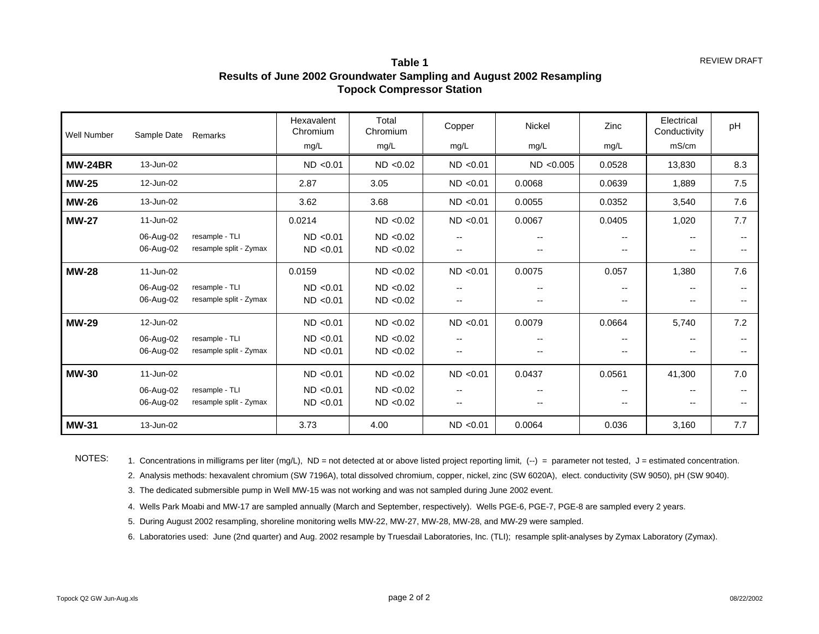## **Table 1Results of June 2002 Groundwater Sampling and August 2002 Resampling Topock Compressor Station**

| <b>Well Number</b> | Sample Date | Remarks                | Hexavalent<br>Chromium | Total<br>Chromium | Copper                   | <b>Nickel</b>            | Zinc                     | Electrical<br>Conductivity | pH  |
|--------------------|-------------|------------------------|------------------------|-------------------|--------------------------|--------------------------|--------------------------|----------------------------|-----|
|                    |             |                        | mg/L                   | mg/L              | mg/L                     | mg/L                     | mg/L                     | mS/cm                      |     |
| <b>MW-24BR</b>     | 13-Jun-02   |                        | ND < 0.01              | ND < 0.02         | ND < 0.01                | ND < 0.005               | 0.0528                   | 13,830                     | 8.3 |
| <b>MW-25</b>       | 12-Jun-02   |                        | 2.87                   | 3.05              | ND < 0.01                | 0.0068                   | 0.0639                   | 1,889                      | 7.5 |
| <b>MW-26</b>       | 13-Jun-02   |                        | 3.62                   | 3.68              | ND < 0.01                | 0.0055                   | 0.0352                   | 3,540                      | 7.6 |
| <b>MW-27</b>       | 11-Jun-02   |                        | 0.0214                 | ND < 0.02         | ND < 0.01                | 0.0067                   | 0.0405                   | 1,020                      | 7.7 |
|                    | 06-Aug-02   | resample - TLI         | ND < 0.01              | ND < 0.02         | $\overline{\phantom{a}}$ | $- -$                    | $\overline{\phantom{a}}$ | $\overline{\phantom{a}}$   |     |
|                    | 06-Aug-02   | resample split - Zymax | ND < 0.01              | ND < 0.02         | $\qquad \qquad -$        | --                       | $\overline{\phantom{m}}$ | $\overline{\phantom{a}}$   |     |
| <b>MW-28</b>       | 11-Jun-02   |                        | 0.0159                 | ND < 0.02         | ND < 0.01                | 0.0075                   | 0.057                    | 1,380                      | 7.6 |
|                    | 06-Aug-02   | resample - TLI         | ND < 0.01              | ND < 0.02         | $\overline{\phantom{a}}$ | $\overline{\phantom{a}}$ | $- -$                    | $\overline{\phantom{a}}$   |     |
|                    | 06-Aug-02   | resample split - Zymax | ND < 0.01              | ND < 0.02         | $\qquad \qquad -$        | --                       | $\overline{\phantom{a}}$ | $\overline{\phantom{m}}$   |     |
| <b>MW-29</b>       | 12-Jun-02   |                        | ND < 0.01              | ND < 0.02         | ND < 0.01                | 0.0079                   | 0.0664                   | 5,740                      | 7.2 |
|                    | 06-Aug-02   | resample - TLI         | ND < 0.01              | ND < 0.02         | $\overline{\phantom{a}}$ | --                       | $\overline{\phantom{a}}$ | $\overline{\phantom{a}}$   |     |
|                    | 06-Aug-02   | resample split - Zymax | ND < 0.01              | ND < 0.02         | --                       | --                       | $\overline{\phantom{a}}$ | $\overline{\phantom{a}}$   |     |
| <b>MW-30</b>       | 11-Jun-02   |                        | ND < 0.01              | ND < 0.02         | ND < 0.01                | 0.0437                   | 0.0561                   | 41,300                     | 7.0 |
|                    | 06-Aug-02   | resample - TLI         | ND < 0.01              | ND < 0.02         | $\overline{\phantom{a}}$ | --                       | $\overline{\phantom{m}}$ | $\overline{\phantom{a}}$   |     |
|                    | 06-Aug-02   | resample split - Zymax | ND < 0.01              | ND < 0.02         | $\qquad \qquad -$        | --                       | $\overline{\phantom{m}}$ | $\overline{\phantom{a}}$   |     |
| <b>MW-31</b>       | 13-Jun-02   |                        | 3.73                   | 4.00              | ND < 0.01                | 0.0064                   | 0.036                    | 3,160                      | 7.7 |

NOTES: 1. Concentrations in milligrams per liter (mg/L), ND = not detected at or above listed project reporting limit, (--) = parameter not tested, J = estimated concentration.

2. Analysis methods: hexavalent chromium (SW 7196A), total dissolved chromium, copper, nickel, zinc (SW 6020A), elect. conductivity (SW 9050), pH (SW 9040).

3. The dedicated submersible pump in Well MW-15 was not working and was not sampled during June 2002 event.

4. Wells Park Moabi and MW-17 are sampled annually (March and September, respectively). Wells PGE-6, PGE-7, PGE-8 are sampled every 2 years.

5. During August 2002 resampling, shoreline monitoring wells MW-22, MW-27, MW-28, MW-28, and MW-29 were sampled.

6. Laboratories used: June (2nd quarter) and Aug. 2002 resample by Truesdail Laboratories, Inc. (TLI); resample split-analyses by Zymax Laboratory (Zymax).